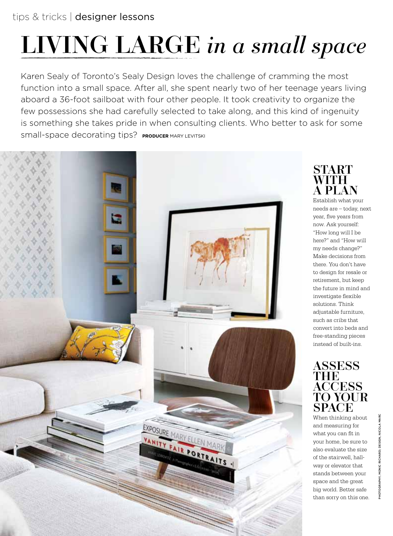# living large *in a small space*

Karen Sealy of Toronto's Sealy Design loves the challenge of cramming the most function into a small space. After all, she spent nearly two of her teenage years living aboard a 36-foot sailboat with four other people. It took creativity to organize the few possessions she had carefully selected to take along, and this kind of ingenuity is something she takes pride in when consulting clients. Who better to ask for some small-space decorating tips? **producer** mary levitski

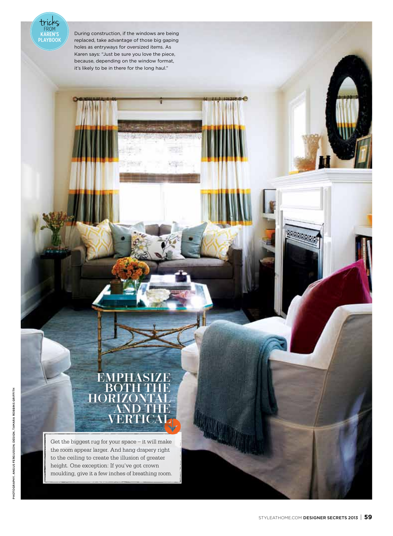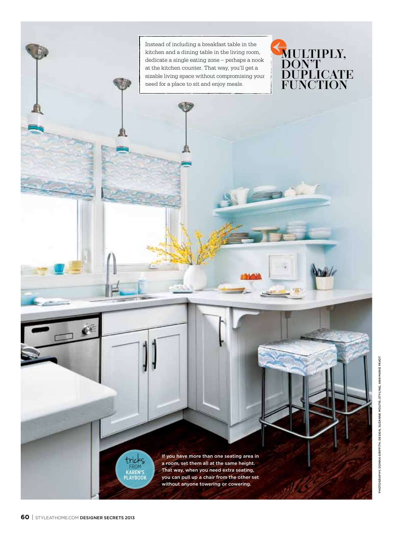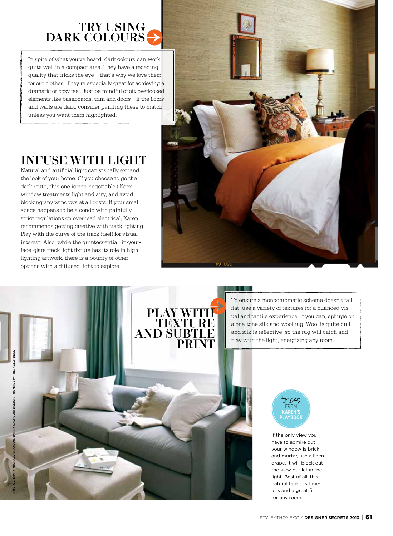### try using DARK COLOUR

In spite of what you've heard, dark colours can work quite well in a compact area. They have a receding quality that tricks the eye – that's why we love them for our clothes! They're especially great for achieving a dramatic or cozy feel. Just be mindful of oft-overlooked elements like baseboards, trim and doors – if the floors and walls are dark, consider painting these to match, unless you want them highlighted.

## Infuse with light

Natural and artificial light can visually expand the look of your home. (If you choose to go the dark route, this one is non-negotiable.) Keep window treatments light and airy, and avoid blocking any windows at all costs. If your small space happens to be a condo with painfully strict regulations on overhead electrical, Karen recommends getting creative with track lighting. Play with the curve of the track itself for visual interest. Also, while the quintessential, in-yourface-glare track light fixture has its role in highlighting artwork, there is a bounty of other options with a diffused light to explore.





To ensure a monochromatic scheme doesn't fall flat, use a variety of textures for a nuanced visual and tactile experience. If you can, splurge on a one-tone silk-and-wool rug. Wool is quite dull and silk is reflective, so the rug will catch and play with the light, energizing any room.



If the only view you have to admire out your window is brick and mortar, use a linen drape. It will block out the view but let in the light. Best of all, this natural fabric is timeless and a great fit for any room.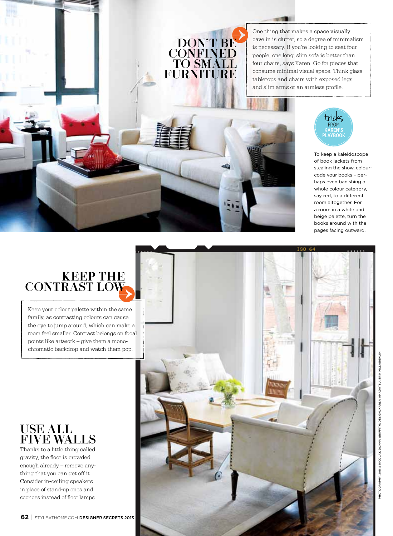One thing that makes a space visually cave in is clutter, so a degree of minimalism is necessary. If you're looking to seat four people, one long, slim sofa is better than four chairs, says Karen. Go for pieces that consume minimal visual space. Think glass tabletops and chairs with exposed legs and slim arms or an armless profile.

 $-100$ 

DON'T BE **CONFINED** to small FURNITURE



To keep a kaleidoscope of book jackets from stealing the show, colourcode your books – perhaps even banishing a whole colour category, say red, to a different room altogether. For a room in a white and beige palette, turn the books around with the pages facing outward.

## Keep the contrast low

Keep your colour palette within the same family, as contrasting colours can cause the eye to jump around, which can make a room feel smaller. Contrast belongs on focal points like artwork – give them a monochromatic backdrop and watch them pop.

#### USE ALL **FIVE WALL**

Thanks to a little thing called gravity, the floor is crowded enough already – remove anything that you can get off it. Consider in-ceiling speakers in place of stand-up ones and sconces instead of floor lamps.